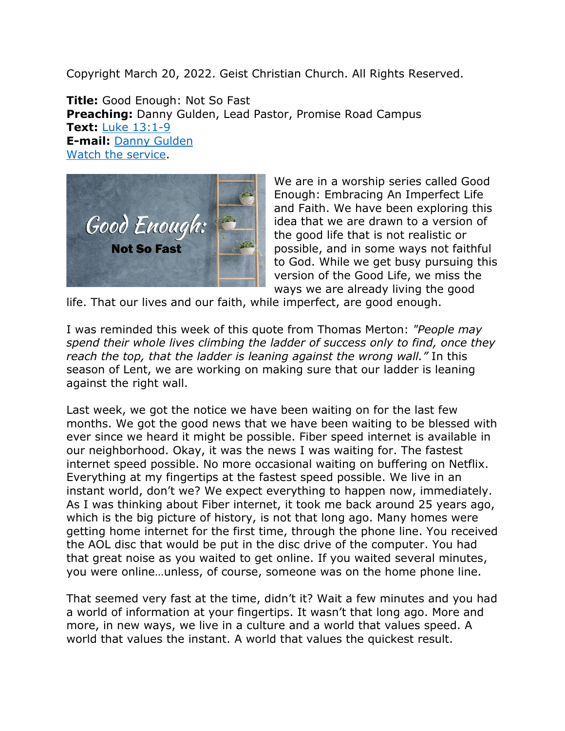Copyright March 20, 2022. Geist Christian Church. All Rights Reserved.

**Title:** Good Enough: Not So Fast **Preaching:** Danny Gulden, Lead Pastor, Promise Road Campus **Text:** [Luke 13:1-9](https://www.biblegateway.com/passage/?search=Luke+13%3A1-9&version=NRSV) **E-mail:** [Danny Gulden](mailto:danny.gulden@geistchristian.org) [Watch the service.](https://youtu.be/NXEfyvrvGxw)



We are in a worship series called Good Enough: Embracing An Imperfect Life and Faith. We have been exploring this idea that we are drawn to a version of the good life that is not realistic or possible, and in some ways not faithful to God. While we get busy pursuing this version of the Good Life, we miss the ways we are already living the good

life. That our lives and our faith, while imperfect, are good enough.

I was reminded this week of this quote from Thomas Merton: *"People may spend their whole lives climbing the ladder of success only to find, once they reach the top, that the ladder is leaning against the wrong wall."* In this season of Lent, we are working on making sure that our ladder is leaning against the right wall.

Last week, we got the notice we have been waiting on for the last few months. We got the good news that we have been waiting to be blessed with ever since we heard it might be possible. Fiber speed internet is available in our neighborhood. Okay, it was the news I was waiting for. The fastest internet speed possible. No more occasional waiting on buffering on Netflix. Everything at my fingertips at the fastest speed possible. We live in an instant world, don't we? We expect everything to happen now, immediately. As I was thinking about Fiber internet, it took me back around 25 years ago, which is the big picture of history, is not that long ago. Many homes were getting home internet for the first time, through the phone line. You received the AOL disc that would be put in the disc drive of the computer. You had that great noise as you waited to get online. If you waited several minutes, you were online…unless, of course, someone was on the home phone line.

That seemed very fast at the time, didn't it? Wait a few minutes and you had a world of information at your fingertips. It wasn't that long ago. More and more, in new ways, we live in a culture and a world that values speed. A world that values the instant. A world that values the quickest result.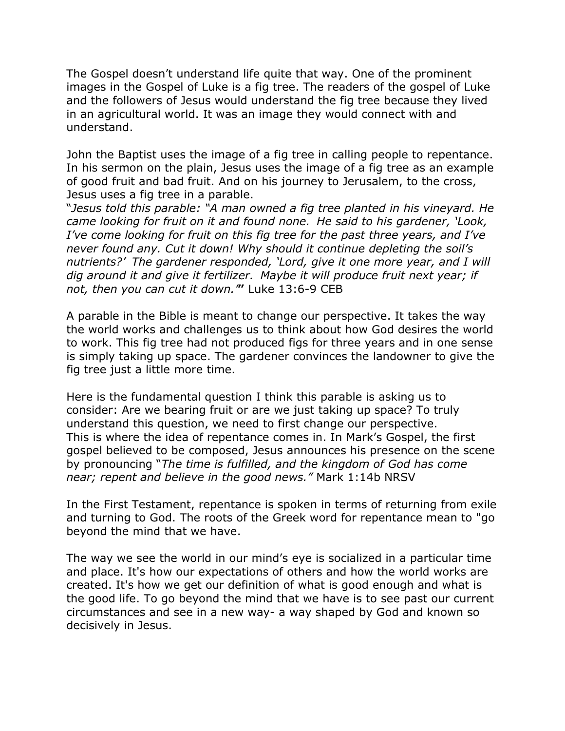The Gospel doesn't understand life quite that way. One of the prominent images in the Gospel of Luke is a fig tree. The readers of the gospel of Luke and the followers of Jesus would understand the fig tree because they lived in an agricultural world. It was an image they would connect with and understand.

John the Baptist uses the image of a fig tree in calling people to repentance. In his sermon on the plain, Jesus uses the image of a fig tree as an example of good fruit and bad fruit. And on his journey to Jerusalem, to the cross, Jesus uses a fig tree in a parable.

"*Jesus told this parable: "A man owned a fig tree planted in his vineyard. He came looking for fruit on it and found none. He said to his gardener, 'Look, I've come looking for fruit on this fig tree for the past three years, and I've never found any. Cut it down! Why should it continue depleting the soil's nutrients?' The gardener responded, 'Lord, give it one more year, and I will dig around it and give it fertilizer. Maybe it will produce fruit next year; if not, then you can cut it down.'***"** Luke 13:6-9 CEB

A parable in the Bible is meant to change our perspective. It takes the way the world works and challenges us to think about how God desires the world to work. This fig tree had not produced figs for three years and in one sense is simply taking up space. The gardener convinces the landowner to give the fig tree just a little more time.

Here is the fundamental question I think this parable is asking us to consider: Are we bearing fruit or are we just taking up space? To truly understand this question, we need to first change our perspective. This is where the idea of repentance comes in. In Mark's Gospel, the first gospel believed to be composed, Jesus announces his presence on the scene by pronouncing "*The time is fulfilled, and the kingdom of God has come near; repent and believe in the good news."* Mark 1:14b NRSV

In the First Testament, repentance is spoken in terms of returning from exile and turning to God. The roots of the Greek word for repentance mean to "go beyond the mind that we have.

The way we see the world in our mind's eye is socialized in a particular time and place. It's how our expectations of others and how the world works are created. It's how we get our definition of what is good enough and what is the good life. To go beyond the mind that we have is to see past our current circumstances and see in a new way- a way shaped by God and known so decisively in Jesus.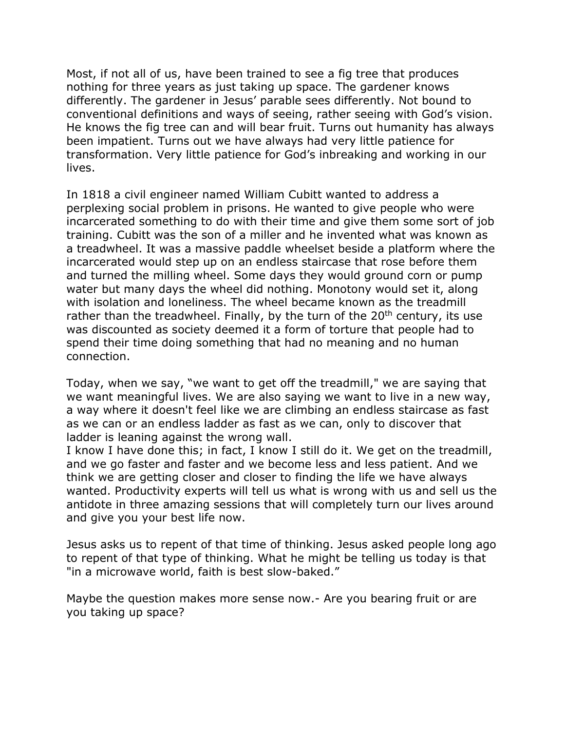Most, if not all of us, have been trained to see a fig tree that produces nothing for three years as just taking up space. The gardener knows differently. The gardener in Jesus' parable sees differently. Not bound to conventional definitions and ways of seeing, rather seeing with God's vision. He knows the fig tree can and will bear fruit. Turns out humanity has always been impatient. Turns out we have always had very little patience for transformation. Very little patience for God's inbreaking and working in our lives.

In 1818 a civil engineer named William Cubitt wanted to address a perplexing social problem in prisons. He wanted to give people who were incarcerated something to do with their time and give them some sort of job training. Cubitt was the son of a miller and he invented what was known as a treadwheel. It was a massive paddle wheelset beside a platform where the incarcerated would step up on an endless staircase that rose before them and turned the milling wheel. Some days they would ground corn or pump water but many days the wheel did nothing. Monotony would set it, along with isolation and loneliness. The wheel became known as the treadmill rather than the treadwheel. Finally, by the turn of the  $20<sup>th</sup>$  century, its use was discounted as society deemed it a form of torture that people had to spend their time doing something that had no meaning and no human connection.

Today, when we say, "we want to get off the treadmill," we are saying that we want meaningful lives. We are also saying we want to live in a new way, a way where it doesn't feel like we are climbing an endless staircase as fast as we can or an endless ladder as fast as we can, only to discover that ladder is leaning against the wrong wall.

I know I have done this; in fact, I know I still do it. We get on the treadmill, and we go faster and faster and we become less and less patient. And we think we are getting closer and closer to finding the life we have always wanted. Productivity experts will tell us what is wrong with us and sell us the antidote in three amazing sessions that will completely turn our lives around and give you your best life now.

Jesus asks us to repent of that time of thinking. Jesus asked people long ago to repent of that type of thinking. What he might be telling us today is that "in a microwave world, faith is best slow-baked."

Maybe the question makes more sense now.- Are you bearing fruit or are you taking up space?